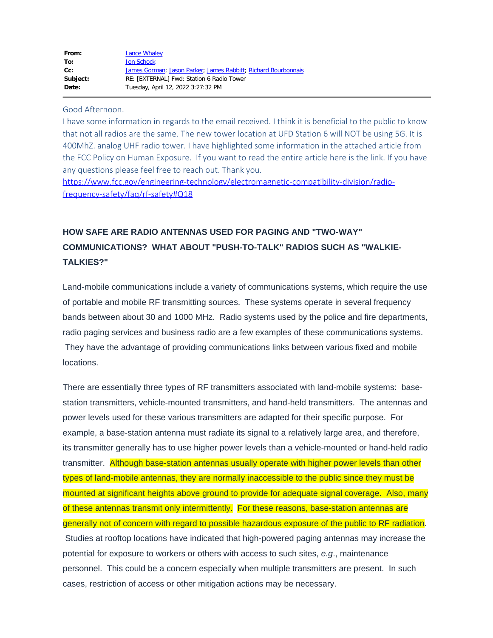| From:    | Lance Whaley                                                   |
|----------|----------------------------------------------------------------|
| To:      | Jon Schock                                                     |
| cc:      | James Gorman; Jason Parker; James Rabbitt; Richard Bourbonnais |
| Subject: | RE: [EXTERNAL] Fwd: Station 6 Radio Tower                      |
| Date:    | Tuesday, April 12, 2022 3:27:32 PM                             |
|          |                                                                |

## Good Afternoon.

I have some information in regards to the email received. I think it is beneficial to the public to know that not all radios are the same. The new tower location at UFD Station 6 will NOT be using 5G. It is 400MhZ. analog UHF radio tower. I have highlighted some information in the attached article from the FCC Policy on Human Exposure. If you want to read the entire article here is the link. If you have any questions please feel free to reach out. Thank you.

[https://www.fcc.gov/engineering-technology/electromagnetic-compatibility-division/radio](https://www.fcc.gov/engineering-technology/electromagnetic-compatibility-division/radio-frequency-safety/faq/rf-safety#Q18)[frequency-safety/faq/rf-safety#Q18](https://www.fcc.gov/engineering-technology/electromagnetic-compatibility-division/radio-frequency-safety/faq/rf-safety#Q18)

## **HOW SAFE ARE RADIO ANTENNAS USED FOR PAGING AND "TWO-WAY" COMMUNICATIONS? WHAT ABOUT "PUSH-TO-TALK" RADIOS SUCH AS "WALKIE-TALKIES?"**

Land-mobile communications include a variety of communications systems, which require the use of portable and mobile RF transmitting sources. These systems operate in several frequency bands between about 30 and 1000 MHz. Radio systems used by the police and fire departments, radio paging services and business radio are a few examples of these communications systems. They have the advantage of providing communications links between various fixed and mobile locations.

There are essentially three types of RF transmitters associated with land-mobile systems: basestation transmitters, vehicle-mounted transmitters, and hand-held transmitters. The antennas and power levels used for these various transmitters are adapted for their specific purpose. For example, a base-station antenna must radiate its signal to a relatively large area, and therefore, its transmitter generally has to use higher power levels than a vehicle-mounted or hand-held radio transmitter. Although base-station antennas usually operate with higher power levels than other types of land-mobile antennas, they are normally inaccessible to the public since they must be mounted at significant heights above ground to provide for adequate signal coverage. Also, many of these antennas transmit only intermittently. For these reasons, base-station antennas are generally not of concern with regard to possible hazardous exposure of the public to RF radiation. Studies at rooftop locations have indicated that high-powered paging antennas may increase the potential for exposure to workers or others with access to such sites, *e.g*., maintenance personnel. This could be a concern especially when multiple transmitters are present. In such cases, restriction of access or other mitigation actions may be necessary.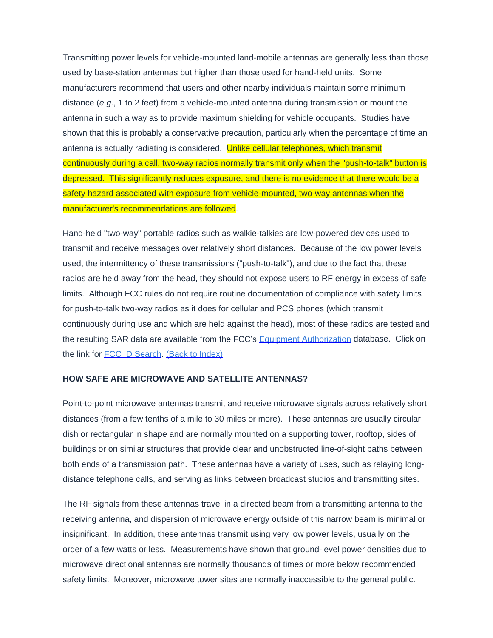Transmitting power levels for vehicle-mounted land-mobile antennas are generally less than those used by base-station antennas but higher than those used for hand-held units. Some manufacturers recommend that users and other nearby individuals maintain some minimum distance (*e.g*., 1 to 2 feet) from a vehicle-mounted antenna during transmission or mount the antenna in such a way as to provide maximum shielding for vehicle occupants. Studies have shown that this is probably a conservative precaution, particularly when the percentage of time an antenna is actually radiating is considered. Unlike cellular telephones, which transmit continuously during a call, two-way radios normally transmit only when the "push-to-talk" button is depressed. This significantly reduces exposure, and there is no evidence that there would be a safety hazard associated with exposure from vehicle-mounted, two-way antennas when the manufacturer's recommendations are followed.

Hand-held "two-way" portable radios such as walkie-talkies are low-powered devices used to transmit and receive messages over relatively short distances. Because of the low power levels used, the intermittency of these transmissions ("push-to-talk"), and due to the fact that these radios are held away from the head, they should not expose users to RF energy in excess of safe limits. Although FCC rules do not require routine documentation of compliance with safety limits for push-to-talk two-way radios as it does for cellular and PCS phones (which transmit continuously during use and which are held against the head), most of these radios are tested and the resulting SAR data are available from the FCC's [Equipment Authorization](https://www.fcc.gov/oet/ea/) database. Click on the link for [FCC ID Search](https://www.fcc.gov/fccid). [\(Back to Index\)](https://www.fcc.gov/engineering-technology/electromagnetic-compatibility-division/radio-frequency-safety/faq/rf-safety#top)

## **HOW SAFE ARE MICROWAVE AND SATELLITE ANTENNAS?**

Point-to-point microwave antennas transmit and receive microwave signals across relatively short distances (from a few tenths of a mile to 30 miles or more). These antennas are usually circular dish or rectangular in shape and are normally mounted on a supporting tower, rooftop, sides of buildings or on similar structures that provide clear and unobstructed line-of-sight paths between both ends of a transmission path. These antennas have a variety of uses, such as relaying longdistance telephone calls, and serving as links between broadcast studios and transmitting sites.

The RF signals from these antennas travel in a directed beam from a transmitting antenna to the receiving antenna, and dispersion of microwave energy outside of this narrow beam is minimal or insignificant. In addition, these antennas transmit using very low power levels, usually on the order of a few watts or less. Measurements have shown that ground-level power densities due to microwave directional antennas are normally thousands of times or more below recommended safety limits. Moreover, microwave tower sites are normally inaccessible to the general public.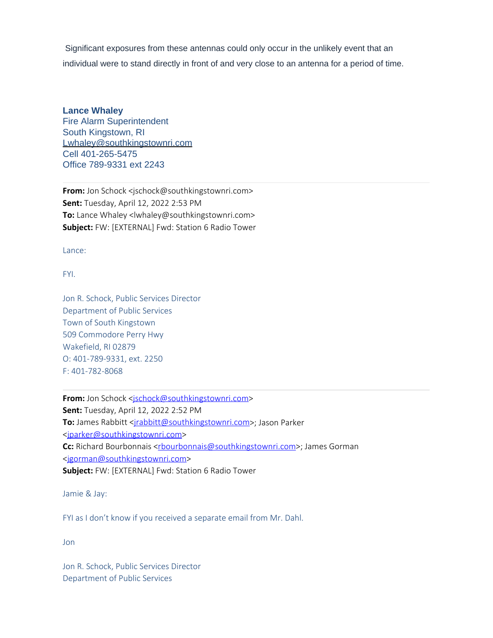Significant exposures from these antennas could only occur in the unlikely event that an individual were to stand directly in front of and very close to an antenna for a period of time.

## **Lance Whaley**

Fire Alarm Superintendent South Kingstown, RI Lwhaley@southkingstownri.com Cell 401-265-5475 Office 789-9331 ext 2243

**From:** Jon Schock <jschock@southkingstownri.com> **Sent:** Tuesday, April 12, 2022 2:53 PM **To:** Lance Whaley <lwhaley@southkingstownri.com> **Subject:** FW: [EXTERNAL] Fwd: Station 6 Radio Tower

Lance:

FYI.

Jon R. Schock, Public Services Director Department of Public Services Town of South Kingstown 509 Commodore Perry Hwy Wakefield, RI 02879 O: 401-789-9331, ext. 2250 F: 401-782-8068

From: Jon Schock [<jschock@southkingstownri.com](mailto:jschock@southkingstownri.com)> **Sent:** Tuesday, April 12, 2022 2:52 PM **To:** James Rabbitt < $j$ rabbitt@southkingstownri.com>; Jason Parker [<jparker@southkingstownri.com](mailto:jparker@southkingstownri.com)> **Cc:** Richard Bourbonnais [<rbourbonnais@southkingstownri.com](mailto:rbourbonnais@southkingstownri.com)>; James Gorman [<jgorman@southkingstownri.com](mailto:jgorman@southkingstownri.com)> **Subject:** FW: [EXTERNAL] Fwd: Station 6 Radio Tower

Jamie & Jay:

FYI as I don't know if you received a separate email from Mr. Dahl.

Jon

Jon R. Schock, Public Services Director Department of Public Services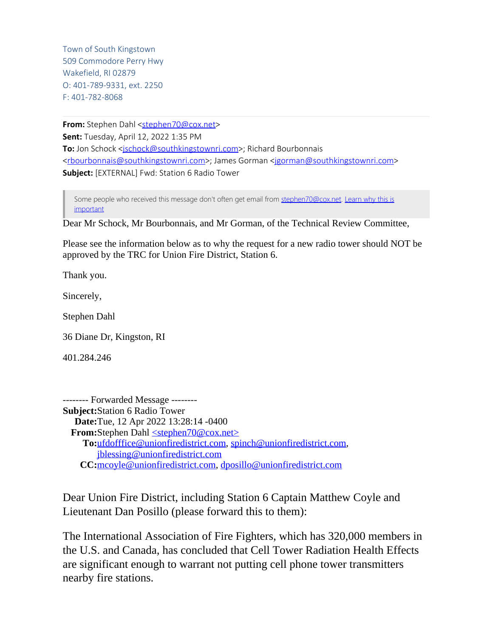Town of South Kingstown 509 Commodore Perry Hwy Wakefield, RI 02879 O: 401-789-9331, ext. 2250 F: 401-782-8068

**From:** Stephen Dahl [<stephen70@cox.net](mailto:stephen70@cox.net)> **Sent:** Tuesday, April 12, 2022 1:35 PM **To:** Jon Schock [<jschock@southkingstownri.com](mailto:jschock@southkingstownri.com)>; Richard Bourbonnais [<rbourbonnais@southkingstownri.com](mailto:rbourbonnais@southkingstownri.com)>; James Gorman [<jgorman@southkingstownri.com](mailto:jgorman@southkingstownri.com)> **Subject:** [EXTERNAL] Fwd: Station 6 Radio Tower

Some people who received this message don't often get email from [stephen70@cox.net.](mailto:stephen70@cox.net) [Learn why this is](http://aka.ms/LearnAboutSenderIdentification) [important](http://aka.ms/LearnAboutSenderIdentification)

Dear Mr Schock, Mr Bourbonnais, and Mr Gorman, of the Technical Review Committee,

Please see the information below as to why the request for a new radio tower should NOT be approved by the TRC for Union Fire District, Station 6.

Thank you.

Sincerely,

Stephen Dahl

36 Diane Dr, Kingston, RI

401.284.246

-------- Forwarded Message -------- **Subject:**Station 6 Radio Tower **Date:**Tue, 12 Apr 2022 13:28:14 -0400 **From:**Stephen Dahl [<stephen70@cox.net>](mailto:stephen70@cox.net) **To:**[ufdofffice@unionfiredistrict.com,](mailto:ufdofffice@unionfiredistrict.com) [spinch@unionfiredistrict.com](mailto:spinch@unionfiredistrict.com), [jblessing@unionfiredistrict.com](mailto:jblessing@unionfiredistrict.com) **CC:**[mcoyle@unionfiredistrict.com](mailto:mcoyle@unionfiredistrict.com), [dposillo@unionfiredistrict.com](mailto:dposillo@unionfiredistrict.com)

Dear Union Fire District, including Station 6 Captain Matthew Coyle and Lieutenant Dan Posillo (please forward this to them):

The International Association of Fire Fighters, which has 320,000 members in the U.S. and Canada, has concluded that Cell Tower Radiation Health Effects are significant enough to warrant not putting cell phone tower transmitters nearby fire stations.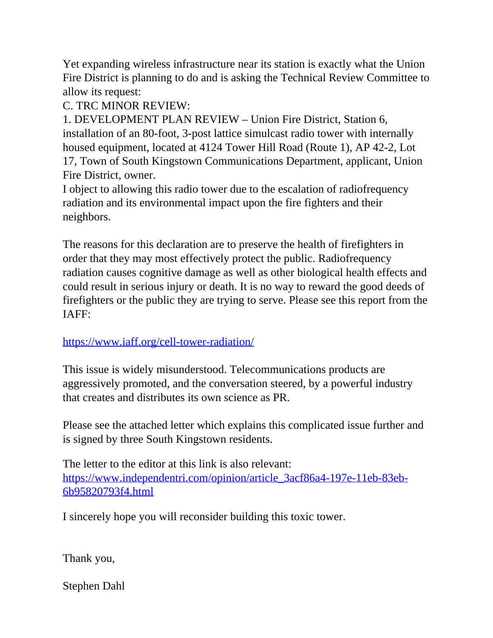Yet expanding wireless infrastructure near its station is exactly what the Union Fire District is planning to do and is asking the Technical Review Committee to allow its request:

C. TRC MINOR REVIEW:

1. DEVELOPMENT PLAN REVIEW – Union Fire District, Station 6, installation of an 80-foot, 3-post lattice simulcast radio tower with internally housed equipment, located at 4124 Tower Hill Road (Route 1), AP 42-2, Lot 17, Town of South Kingstown Communications Department, applicant, Union Fire District, owner.

I object to allowing this radio tower due to the escalation of radiofrequency radiation and its environmental impact upon the fire fighters and their neighbors.

The reasons for this declaration are to preserve the health of firefighters in order that they may most effectively protect the public. Radiofrequency radiation causes cognitive damage as well as other biological health effects and could result in serious injury or death. It is no way to reward the good deeds of firefighters or the public they are trying to serve. Please see this report from the IAFF:

<https://www.iaff.org/cell-tower-radiation/>

This issue is widely misunderstood. Telecommunications products are aggressively promoted, and the conversation steered, by a powerful industry that creates and distributes its own science as PR.

Please see the attached letter which explains this complicated issue further and is signed by three South Kingstown residents.

The letter to the editor at this link is also relevant: [https://www.independentri.com/opinion/article\\_3acf86a4-197e-11eb-83eb-](https://www.independentri.com/opinion/article_3acf86a4-197e-11eb-83eb-6b95820793f4.html)[6b95820793f4.html](https://www.independentri.com/opinion/article_3acf86a4-197e-11eb-83eb-6b95820793f4.html)

I sincerely hope you will reconsider building this toxic tower.

Thank you,

Stephen Dahl